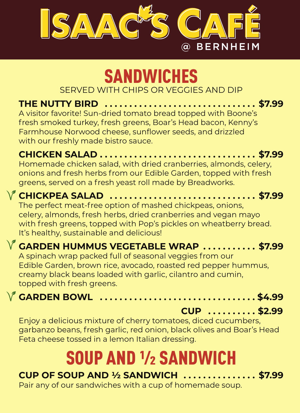

## SANDWICHES SERVED WITH CHIPS OR VEGGIES AND DIP

**THE NUTTY BIRD . . . . . . . . . . . . . . . . . . . . . . . . . . . . . . . \$7.99** A visitor favorite! Sun-dried tomato bread topped with Boone's fresh smoked turkey, fresh greens, Boar's Head bacon, Kenny's Farmhouse Norwood cheese, sunflower seeds, and drizzled with our freshly made bistro sauce.

#### **CHICKEN SALAD . . . . . . . . . . . . . . . . . . . . . . . . . . . . . . . . \$7.99** Homemade chicken salad, with dried cranberries, almonds, celery, onions and fresh herbs from our Edible Garden, topped with fresh greens, served on a fresh yeast roll made by Breadworks.

# **CHICKPEA SALAD . . . . . . . . . . . . . . . . . . . . . . . . . . . . . . \$7.99**

The perfect meat-free option of mashed chickpeas, onions, celery, almonds, fresh herbs, dried cranberries and vegan mayo with fresh greens, topped with Pop's pickles on wheatberry bread. It's healthy, sustainable and delicious!

### **GARDEN HUMMUS VEGETABLE WRAP . . . . . . . . . . . \$7.99**

A spinach wrap packed full of seasonal veggies from our Edible Garden, brown rice, avocado, roasted red pepper hummus, creamy black beans loaded with garlic, cilantro and cumin, topped with fresh greens.



**CUP . . . . . . . . . . \$2.99**

Enjoy a delicious mixture of cherry tomatoes, diced cucumbers, garbanzo beans, fresh garlic, red onion, black olives and Boar's Head Feta cheese tossed in a lemon Italian dressing.

# SOUP AND ½ SANDWICH

#### **CUP OF SOUP AND ½ SANDWICH . . . . . . . . . . . . . . . \$7.99** Pair any of our sandwiches with a cup of homemade soup.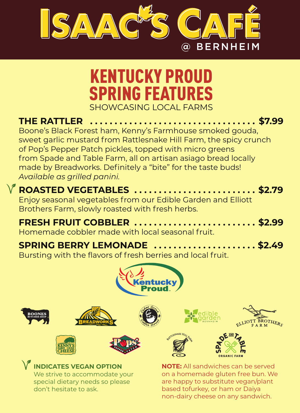

ORGANIC FARM

We strive to accommodate your special dietary needs so please don't hesitate to ask.

### **INDICATES VEGAN OPTION**



# KENTUCKY PROUD SPRING FEATURES SHOWCASING LOCAL FARMS

**THE RATTLER . . . . . . . . . . . . . . . . . . . . . . . . . . . . . . . . . . \$7.99** Boone's Black Forest ham, Kenny's Farmhouse smoked gouda, sweet garlic mustard from Rattlesnake Hill Farm, the spicy crunch of Pop's Pepper Patch pickles, topped with micro greens from Spade and Table Farm, all on artisan asiago bread locally made by Breadworks. Definitely a "bite" for the taste buds! *Available as grilled panini.*

# **ROASTED VEGETABLES . . . . . . . . . . . . . . . . . . . . . . . . . \$2.79**

Enjoy seasonal vegetables from our Edible Garden and Elliott Brothers Farm, slowly roasted with fresh herbs.

#### **FRESH FRUIT COBBLER . . . . . . . . . . . . . . . . . . . . . . . . . \$2.99** Homemade cobbler made with local seasonal fruit.

# **SPRING BERRY LEMONADE . . . . . . . . . . . . . . . . . . . . . \$2.49**

Bursting with the flavors of fresh berries and local fruit.